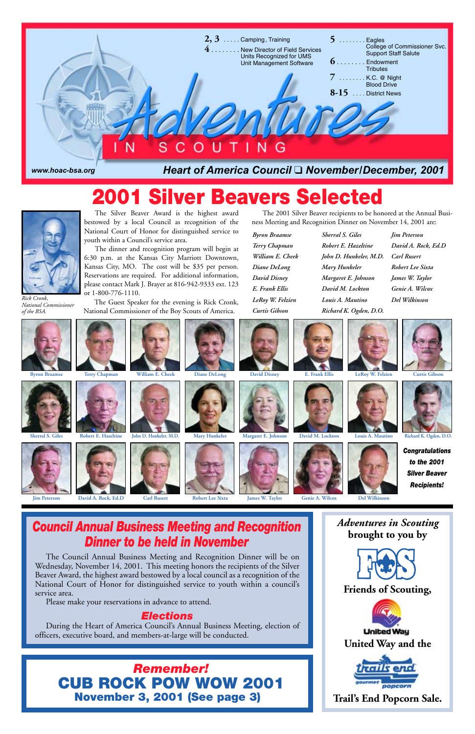

# *Dinner to be held in November*

*Adventures in Scouting* **brought to you by**





The Council Annual Business Meeting and Recognition Dinner will be on Wednesday, November 14, 2001. This meeting honors the recipients of the Silver Beaver Award, the highest award bestowed by a local council as a recognition of the National Court of Honor for distinguished service to youth within a council's service area.

Please make your reservations in advance to attend.

# *Elections*

During the Heart of America Council's Annual Business Meeting, election of officers, executive board, and members-at-large will be conducted.

The Silver Beaver Award is the highest award bestowed by a local Council as recognition of the National Court of Honor for distinguished service to youth within a Council's service area.

The dinner and recognition program will begin at 6:30 p.m. at the Kansas City Marriott Downtown, Kansas City, MO. The cost will be \$35 per person. Reservations are required. For additional information, please contact Mark J. Brayer at 816-942-9333 ext. 123 or 1-800-776-1110.

The Guest Speaker for the evening is Rick Cronk, *Rick Cronk, Del Wilkinson* National Commissioner of the Boy Scouts of America.

*Byron Braamse Terry Chapman William E. Cheek Diane DeLong David Disney E. Frank Ellis LeRoy W. Felzien Curtis Gibson*

*Sherral S. Giles Robert E. Hazeltine John D. Hunkeler, M.D. Mary Hunkeler Margaret E. Johnson David M. Lockton Louis A. Mautino Richard K. Ogden, D.O.*

*Jim Peterson David A. Rock, Ed.D Carl Rusert Robert Lee Sixta James W. Taylor Genie A. Wilcox*



*National Commissioner*









# **2001 Silver Beavers Selected**



The 2001 Silver Beaver recipients to be honored at the Annual Business Meeting and Recognition Dinner on November 14, 2001 are:

*Remember!* **CUB ROCK POW WOW 2001 November 3, 2001 (See page 3)**



























**Jim Peterson David A. Rock, Ed.D Carl Rusert Robert Lee Sixta James W. Taylor Genie A. Wilcox Del Wilkinson**











*Congratulations to the 2001 Silver Beaver Recipients!*

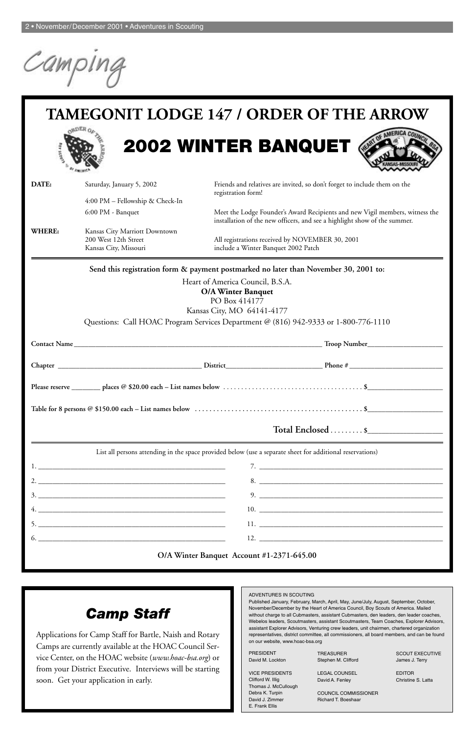Campin

#### ADVENTURES IN SCOUTING

Published January, February, March, April, May, June/July, August, September, October, November/December by the Heart of America Council, Boy Scouts of America. Mailed without charge to all Cubmasters, assistant Cubmasters, den leaders, den leader coaches, Webelos leaders, Scoutmasters, assistant Scoutmasters, Team Coaches, Explorer Advisors, assistant Explorer Advisors, Venturing crew leaders, unit chairmen, chartered organization representatives, district committee, all commissioners, all board members, and can be found on our website, www.hoac-bsa.org

**TAMEGONIT LODGE 147 / ORDER OF THE ARROW 2002 WINTER BANQUET**



| <b>PRESIDENT</b>                  | <b>TREASURER</b>            | <b>SCOUT EXECUTIVE</b> |
|-----------------------------------|-----------------------------|------------------------|
| David M. Lockton                  | Stephen M. Clifford         | James J. Terry         |
| <b>VICE PRESIDENTS</b>            | <b>LEGAL COUNSEL</b>        | <b>EDITOR</b>          |
| Clifford W. Illig                 | David A. Fenley             | Christine S. Latta     |
| Thomas J. McCullough              |                             |                        |
| Debra K. Turpin                   | <b>COUNCIL COMMISSIONER</b> |                        |
| David J. Zimmer<br>E. Frank Ellis | Richard T. Boeshaar         |                        |
|                                   |                             |                        |

# *Camp Staff*

Applications for Camp Staff for Bartle, Naish and Rotary Camps are currently available at the HOAC Council Service Center, on the HOAC website (*www.hoac-bsa.org*) or from your District Executive. Interviews will be starting soon. Get your application in early.

| DATE:  | Saturday, January 5, 2002                                                                                 | registration form!                  | Friends and relatives are invited, so don't forget to include them on the                                                                                 |
|--------|-----------------------------------------------------------------------------------------------------------|-------------------------------------|-----------------------------------------------------------------------------------------------------------------------------------------------------------|
|        | 4:00 PM - Fellowship & Check-In                                                                           |                                     |                                                                                                                                                           |
|        | 6:00 PM - Banquet                                                                                         |                                     | Meet the Lodge Founder's Award Recipients and new Vigil members, witness the<br>installation of the new officers, and see a highlight show of the summer. |
| WHERE: | Kansas City Marriott Downtown<br>200 West 12th Street<br>Kansas City, Missouri                            | include a Winter Banquet 2002 Patch | All registrations received by NOVEMBER 30, 2001                                                                                                           |
|        | Send this registration form & payment postmarked no later than November 30, 2001 to:                      |                                     |                                                                                                                                                           |
|        |                                                                                                           | Heart of America Council, B.S.A.    |                                                                                                                                                           |
|        |                                                                                                           | <b>O/A Winter Banquet</b>           |                                                                                                                                                           |
|        |                                                                                                           | PO Box 414177                       |                                                                                                                                                           |
|        |                                                                                                           | Kansas City, MO 64141-4177          |                                                                                                                                                           |
|        | Questions: Call HOAC Program Services Department @ (816) 942-9333 or 1-800-776-1110                       |                                     |                                                                                                                                                           |
|        |                                                                                                           |                                     |                                                                                                                                                           |
|        |                                                                                                           |                                     |                                                                                                                                                           |
|        |                                                                                                           |                                     |                                                                                                                                                           |
|        |                                                                                                           |                                     |                                                                                                                                                           |
|        |                                                                                                           |                                     | Total Enclosed  \$                                                                                                                                        |
|        | List all persons attending in the space provided below (use a separate sheet for additional reservations) |                                     |                                                                                                                                                           |
|        |                                                                                                           |                                     |                                                                                                                                                           |
|        |                                                                                                           |                                     | 8.                                                                                                                                                        |
|        |                                                                                                           |                                     |                                                                                                                                                           |
|        |                                                                                                           |                                     |                                                                                                                                                           |
|        | <u> 1989 - Johann Stoff, amerikansk politiker (d. 1989)</u>                                               |                                     | $11. \_$                                                                                                                                                  |
|        |                                                                                                           |                                     |                                                                                                                                                           |

#### **O/A Winter Banquet Account #1-2371-645.00**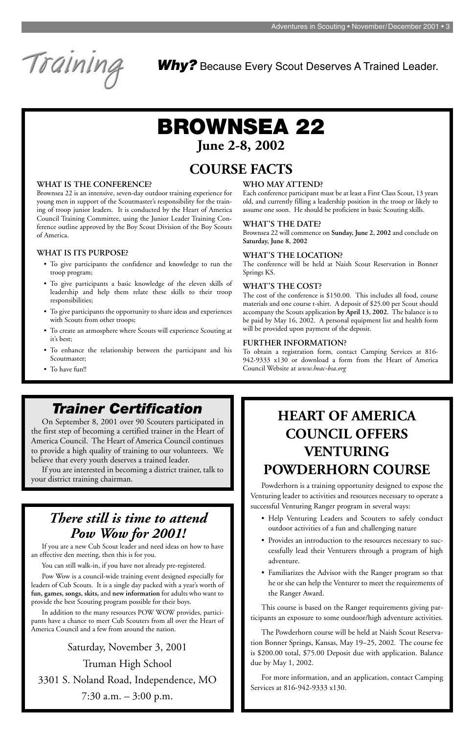

# **BROWNSEA 22 June 2-8, 2002**

# **COURSE FACTS**

#### **WHAT IS THE CONFERENCE?**

Brownsea 22 is an intensive, seven-day outdoor training experience for young men in support of the Scoutmaster's responsibility for the training of troop junior leaders. It is conducted by the Heart of America Council Training Committee, using the Junior Leader Training Conference outline approved by the Boy Scout Division of the Boy Scouts of America.

#### **WHAT IS ITS PURPOSE?**

- To give participants the confidence and knowledge to run the troop program;
- To give participants a basic knowledge of the eleven skills of leadership and help them relate these skills to their troop responsibilities;
- To give participants the opportunity to share ideas and experiences with Scouts from other troops;
- To create an atmosphere where Scouts will experience Scouting at it's best;
- To enhance the relationship between the participant and his Scoutmaster;

#### • To have fun!!

#### **WHO MAY ATTEND?**

Each conference participant must be at least a First Class Scout, 13 years old, and currently filling a leadership position in the troop or likely to assume one soon. He should be proficient in basic Scouting skills.

#### **WHAT'S THE DATE?**

Brownsea 22 will commence on **Sunday, June 2, 2002** and conclude on **Saturday, June 8, 2002**

#### **WHAT'S THE LOCATION?**

The conference will be held at Naish Scout Reservation in Bonner Springs KS.

#### **WHAT'S THE COST?**

The cost of the conference is \$150.00. This includes all food, course materials and one course t-shirt. A deposit of \$25.00 per Scout should accompany the Scouts application **by April 13, 2002.** The balance is to be paid by May 16, 2002. A personal equipment list and health form will be provided upon payment of the deposit.

#### **FURTHER INFORMATION?**

To obtain a registration form, contact Camping Services at 816- 942-9333 x130 or download a form from the Heart of America Council Website at *www.hoac-bsa.org*

# **HEART OF AMERICA COUNCIL OFFERS VENTURING POWDERHORN COURSE**

Powderhorn is a training opportunity designed to expose the Venturing leader to activities and resources necessary to operate a successful Venturing Ranger program in several ways:

- Help Venturing Leaders and Scouters to safely conduct outdoor activities of a fun and challenging nature
- 
- Provides an introduction to the resources necessary to successfully lead their Venturers through a program of high adventure.
- Familiarizes the Advisor with the Ranger program so that he or she can help the Venturer to meet the requirements of the Ranger Award.

This course is based on the Ranger requirements giving participants an exposure to some outdoor/high adventure activities.

The Powderhorn course will be held at Naish Scout Reservation Bonner Springs, Kansas, May 19–25, 2002. The course fee is \$200.00 total, \$75.00 Deposit due with application. Balance due by May 1, 2002.

For more information, and an application, contact Camping Services at 816-942-9333 x130.

# *Trainer Certification*

On September 8, 2001 over 90 Scouters participated in the first step of becoming a certified trainer in the Heart of America Council. The Heart of America Council continues to provide a high quality of training to our volunteers. We believe that every youth deserves a trained leader.

If you are interested in becoming a district trainer, talk to your district training chairman.

*Why?* Because Every Scout Deserves A Trained Leader.

# *There still is time to attend Pow Wow for 2001!*

If you are a new Cub Scout leader and need ideas on how to have an effective den meeting, then this is for you.

You can still walk-in, if you have not already pre-registered.

Pow Wow is a council-wide training event designed especially for leaders of Cub Scouts. It is a single day packed with a year's worth of **fun, games, songs, skits,** and **new information** for adults who want to provide the best Scouting program possible for their boys.

In addition to the many resources POW WOW provides, participants have a chance to meet Cub Scouters from all over the Heart of America Council and a few from around the nation.

Saturday, November 3, 2001 Truman High School 3301 S. Noland Road, Independence, MO 7:30 a.m. – 3:00 p.m.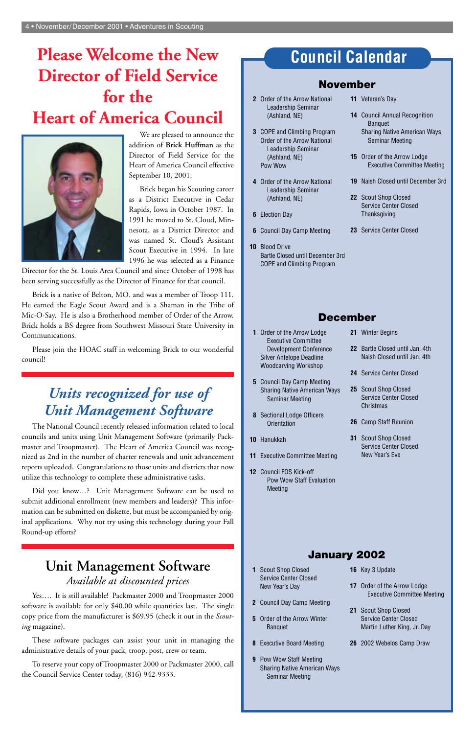# **Council Calendar**

# **November**

- **2** Order of the Arrow National Leadership Seminar (Ashland, NE)
- **3** COPE and Climbing Program Order of the Arrow National Leadership Seminar (Ashland, NE) Pow Wow
- **4** Order of the Arrow National Leadership Seminar (Ashland, NE)
- **6** Election Day
- **6** Council Day Camp Meeting
- **10** Blood Drive Bartle Closed until December 3rd COPE and Climbing Program
- **11** Veteran's Day
- **14** Council Annual Recognition Banquet Sharing Native American Ways Seminar Meeting
- **15** Order of the Arrow Lodge Executive Committee Meeting
- **19** Naish Closed until December 3rd
- **22** Scout Shop Closed Service Center Closed **Thanksgiving**
- **23** Service Center Closed

# **December**

- **1** Order of the Arrow Lodge Executive Committee Development Conference Silver Antelope Deadline Woodcarving Workshop
- **5** Council Day Camp Meeting Sharing Native American Ways Seminar Meeting
- **8** Sectional Lodge Officers **Orientation**
- **10** Hanukkah
- **11** Executive Committee Meeting
- **12** Council FOS Kick-off Pow Wow Staff Evaluation Meeting
- **21** Winter Begins
- **22** Bartle Closed until Jan. 4th Naish Closed until Jan. 4th
- **24** Service Center Closed
- **25** Scout Shop Closed Service Center Closed **Christmas**
- **26** Camp Staff Reunion
- **31** Scout Shop Closed Service Center Closed New Year's Eve

# **January 2002**

- **1** Scout Shop Closed Service Center Closed New Year's Day
- **2** Council Day Camp Meeting
- **5** Order of the Arrow Winter Banquet
- **8** Executive Board Meeting
- **9** Pow Wow Staff Meeting Sharing Native American Ways Seminar Meeting
- **16** Key 3 Update
- **17** Order of the Arrow Lodge Executive Committee Meeting
- **21** Scout Shop Closed Service Center Closed Martin Luther King, Jr. Day
- **26** 2002 Webelos Camp Draw

# **Please Welcome the New Director of Field Service for the Heart of America Council**



We are pleased to announce the addition of **Brick Huffman** as the Director of Field Service for the Heart of America Council effective September 10, 2001.

Brick began his Scouting career as a District Executive in Cedar Rapids, Iowa in October 1987. In 1991 he moved to St. Cloud, Minnesota, as a District Director and was named St. Cloud's Assistant Scout Executive in 1994. In late 1996 he was selected as a Finance

Director for the St. Louis Area Council and since October of 1998 has been serving successfully as the Director of Finance for that council.

Brick is a native of Belton, MO. and was a member of Troop 111. He earned the Eagle Scout Award and is a Shaman in the Tribe of Mic-O-Say. He is also a Brotherhood member of Order of the Arrow. Brick holds a BS degree from Southwest Missouri State University in Communications.

Please join the HOAC staff in welcoming Brick to our wonderful council!

# *Units recognized for use of Unit Management Software*

The National Council recently released information related to local councils and units using Unit Management Software (primarily Packmaster and Troopmaster). The Heart of America Council was recognized as 2nd in the number of charter renewals and unit advancement reports uploaded. Congratulations to those units and districts that now utilize this technology to complete these administrative tasks.

Did you know…? Unit Management Software can be used to submit additional enrollment (new members and leaders)? This information can be submitted on diskette, but must be accompanied by original applications. Why not try using this technology during your Fall Round-up efforts?

# **Unit Management Software** *Available at discounted prices*

Yes…. It is still available! Packmaster 2000 and Troopmaster 2000 software is available for only \$40.00 while quantities last. The single copy price from the manufacturer is \$69.95 (check it out in the *Scouting* magazine).

These software packages can assist your unit in managing the administrative details of your pack, troop, post, crew or team.

To reserve your copy of Troopmaster 2000 or Packmaster 2000, call the Council Service Center today, (816) 942-9333.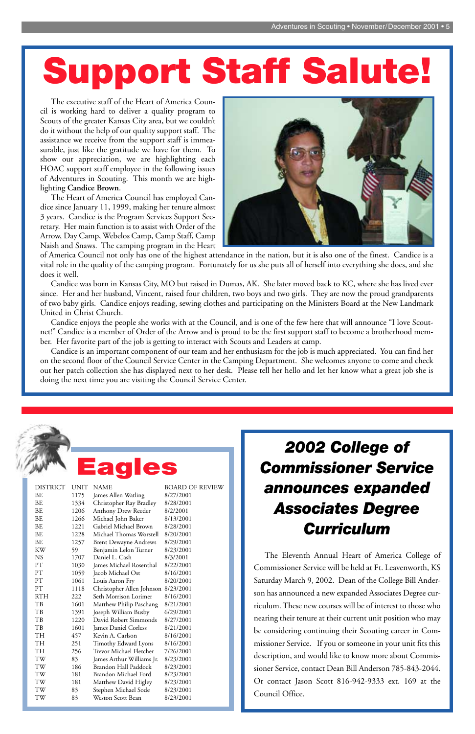*2002 College of Commissioner Service announces expanded Associates Degree Curriculum*

The Eleventh Annual Heart of America College of Commissioner Service will be held at Ft. Leavenworth, KS Saturday March 9, 2002. Dean of the College Bill Anderson has announced a new expanded Associates Degree curriculum. These new courses will be of interest to those who nearing their tenure at their current unit position who may be considering continuing their Scouting career in Commissioner Service. If you or someone in your unit fits this description, and would like to know more about Commissioner Service, contact Dean Bill Anderson 785-843-2044. Or contact Jason Scott 816-942-9333 ext. 169 at the Council Office.

The executive staff of the Heart of America Council is working hard to deliver a quality program to Scouts of the greater Kansas City area, but we couldn't do it without the help of our quality support staff. The assistance we receive from the support staff is immeasurable, just like the gratitude we have for them. To show our appreciation, we are highlighting each HOAC support staff employee in the following issues of Adventures in Scouting. This month we are highlighting **Candice Brown**.

The Heart of America Council has employed Candice since January 11, 1999, making her tenure almost 3 years. Candice is the Program Services Support Secretary. Her main function is to assist with Order of the Arrow, Day Camp, Webelos Camp, Camp Staff, Camp Naish and Snaws. The camping program in the Heart



of America Council not only has one of the highest attendance in the nation, but it is also one of the finest. Candice is a vital role in the quality of the camping program. Fortunately for us she puts all of herself into everything she does, and she does it well.

Candice was born in Kansas City, MO but raised in Dumas, AK. She later moved back to KC, where she has lived ever since. Her and her husband, Vincent, raised four children, two boys and two girls. They are now the proud grandparents of two baby girls. Candice enjoys reading, sewing clothes and participating on the Ministers Board at the New Landmark United in Christ Church.

Candice enjoys the people she works with at the Council, and is one of the few here that will announce "I love Scoutnet!" Candice is a member of Order of the Arrow and is proud to be the first support staff to become a brotherhood member. Her favorite part of the job is getting to interact with Scouts and Leaders at camp.

Candice is an important component of our team and her enthusiasm for the job is much appreciated. You can find her on the second floor of the Council Service Center in the Camping Department. She welcomes anyone to come and check out her patch collection she has displayed next to her desk. Please tell her hello and let her know what a great job she is doing the next time you are visiting the Council Service Center.



| ВE        | 1257 | <b>Brent Dewayne Andrews</b> | 8/29/2001 |
|-----------|------|------------------------------|-----------|
| KW        | 59   | Benjamin Lelon Turner        | 8/23/2001 |
| <b>NS</b> | 1707 | Daniel L. Cash               | 8/3/2001  |
| PT        | 1030 | James Michael Rosenthal      | 8/22/2001 |
| PТ        | 1059 | Jacob Michael Ost            | 8/16/2001 |
| PТ        | 1061 | Louis Aaron Fry              | 8/20/2001 |
| PТ        | 1118 | Christopher Allen Johnson    | 8/23/2001 |
| RTH       | 222  | Seth Morrison Lorimer        | 8/16/2001 |
| TB        | 1601 | Matthew Philip Paschang      | 8/21/2001 |
| TB        | 1391 | Joseph William Busby         | 6/29/2001 |
| TB        | 1220 | David Robert Simmonds        | 8/27/2001 |
| TB        | 1601 | James Daniel Corless         | 8/21/2001 |
| <b>TH</b> | 457  | Kevin A. Carlson             | 8/16/2001 |
| <b>TH</b> | 251  | Timothy Edward Lyons         | 8/16/2001 |
| <b>TH</b> | 256  | Trevor Michael Fletcher      | 7/26/2001 |
| TW        | 83   | James Arthur Williams Jr.    | 8/23/2001 |
| TW        | 186  | Brandon Hall Paddock         | 8/23/2001 |
| TW        | 181  | Brandon Michael Ford         | 8/23/2001 |
| TW        | 181  | Matthew David Higley         | 8/23/2001 |
| TW        | 83   | Stephen Michael Sode         | 8/23/2001 |
| TW        | 83   | Weston Scott Bean            | 8/23/2001 |
|           |      |                              |           |

# **Support Staff Salute!**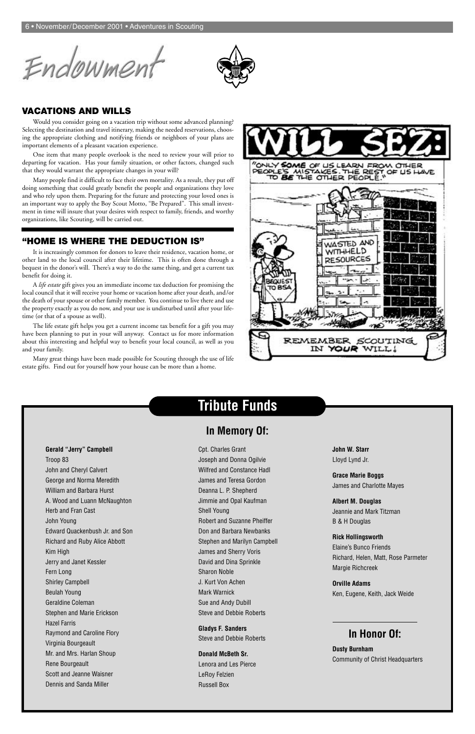Endowment



# **Tribute Funds**

# **In Memory Of:**

**Gerald "Jerry" Campbell** Troop 83 John and Cheryl Calvert George and Norma Meredith William and Barbara Hurst A. Wood and Luann McNaughton Herb and Fran Cast John Young Edward Quackenbush Jr. and Son Richard and Ruby Alice Abbott Kim High Jerry and Janet Kessler Fern Long Shirley Campbell Beulah Young Geraldine Coleman Stephen and Marie Erickson Hazel Farris Raymond and Caroline Flory Virginia Bourgeault Mr. and Mrs. Harlan Shoup Rene Bourgeault Scott and Jeanne Waisner Dennis and Sanda Miller

Cpt. Charles Grant

Joseph and Donna Ogilvie Wilfred and Constance Hadl James and Teresa Gordon Deanna L. P. Shepherd Jimmie and Opal Kaufman Shell Young Robert and Suzanne Pheiffer Don and Barbara Newbanks Stephen and Marilyn Campbell James and Sherry Voris David and Dina Sprinkle Sharon Noble J. Kurt Von Achen Mark Warnick Sue and Andy Dubill Steve and Debbie Roberts

**Gladys F. Sanders** Steve and Debbie Roberts

**Donald McBeth Sr.** Lenora and Les Pierce LeRoy Felzien Russell Box

**John W. Starr** Lloyd Lynd Jr.

**Grace Marie Boggs** James and Charlotte Mayes

**Albert M. Douglas** Jeannie and Mark Titzman B & H Douglas

**Rick Hollingsworth**

Elaine's Bunco Friends Richard, Helen, Matt, Rose Parmeter Margie Richcreek

**Orville Adams** Ken, Eugene, Keith, Jack Weide

# **In Honor Of:**

**Dusty Burnham**

Community of Christ Headquarters

#### **VACATIONS AND WILLS**

Would you consider going on a vacation trip without some advanced planning? Selecting the destination and travel itinerary, making the needed reservations, choosing the appropriate clothing and notifying friends or neighbors of your plans are important elements of a pleasant vacation experience.

One item that many people overlook is the need to review your will prior to departing for vacation. Has your family situation, or other factors, changed such that they would warrant the appropriate changes in your will?

Many people find it difficult to face their own mortality. As a result, they put off doing something that could greatly benefit the people and organizations they love and who rely upon them. Preparing for the future and protecting your loved ones is an important way to apply the Boy Scout Motto, "Be Prepared". This small investment in time will insure that your desires with respect to family, friends, and worthy organizations, like Scouting, will be carried out.

#### **"HOME IS WHERE THE DEDUCTION IS"**

It is increasingly common for donors to leave their residence, vacation home, or other land to the local council after their lifetime. This is often done through a bequest in the donor's will. There's a way to do the same thing, and get a current tax benefit for doing it.

A *life estate* gift gives you an immediate income tax deduction for promising the local council that it will receive your home or vacation home after your death, and/or the death of your spouse or other family member. You continue to live there and use the property exactly as you do now, and your use is undisturbed until after your lifetime (or that of a spouse as well).

The life estate gift helps you get a current income tax benefit for a gift you may have been planning to put in your will anyway. Contact us for more information about this interesting and helpful way to benefit your local council, as well as you and your family.

Many great things have been made possible for Scouting through the use of life estate gifts. Find out for yourself how your house can be more than a home.

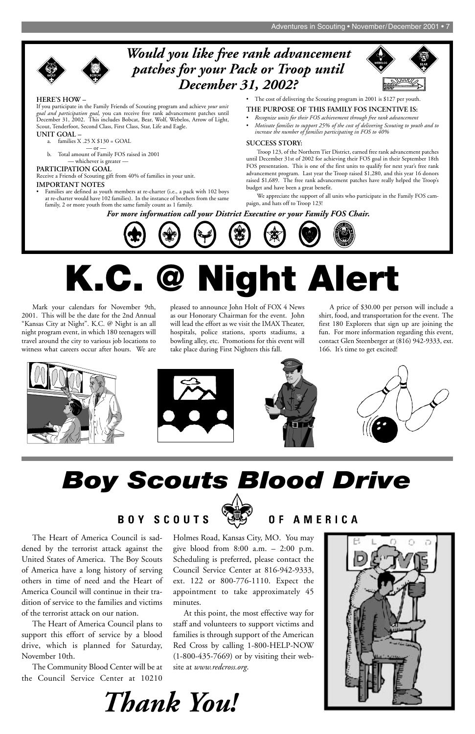

Mark your calendars for November 9th, 2001. This will be the date for the 2nd Annual "Kansas City at Night". K.C. @ Night is an all night program event, in which 180 teenagers will travel around the city to various job locations to witness what careers occur after hours. We are pleased to announce John Holt of FOX 4 News as our Honorary Chairman for the event. John will lead the effort as we visit the IMAX Theater, hospitals, police stations, sports stadiums, a bowling alley, etc. Promotions for this event will take place during First Nighters this fall.

A price of \$30.00 per person will include a shirt, food, and transportation for the event. The first 180 Explorers that sign up are joining the fun. For more information regarding this event, contact Glen Steenberger at (816) 942-9333, ext. 166. It's time to get excited!









dened by the terrorist attack against the United States of America. The Boy Scouts of America have a long history of serving others in time of need and the Heart of America Council will continue in their tradition of service to the families and victims of the terrorist attack on our nation.

The Heart of America Council plans to support this effort of service by a blood drive, which is planned for Saturday, November 10th.

The Community Blood Center will be at the Council Service Center at 10210

The Heart of America Council is sad-Holmes Road, Kansas City, MO. You may give blood from 8:00 a.m. – 2:00 p.m. Scheduling is preferred, please contact the Council Service Center at 816-942-9333, ext. 122 or 800-776-1110. Expect the appointment to take approximately 45 minutes. At this point, the most effective way for staff and volunteers to support victims and families is through support of the American Red Cross by calling 1-800-HELP-NOW (1-800-435-7669) or by visiting their website at *www.redcross.org*.

# *Boy Scouts Blood Drive*

BOY SCOUTS

AMERICA  $0 F$ 

# **K.C. @ Night Alert**

# *Would you like free rank advancement patches for your Pack or Troop until December 31, 2002?*



*For more information call your District Executive or your Family FOS Chair.*



#### **HERE'S HOW –**

If you participate in the Family Friends of Scouting program and achieve *your unit goal and participation goal,* you can receive free rank advancement patches until December 31, 2002. This includes Bobcat, Bear, Wolf, Webelos, Arrow of Light, Scout, Tenderfoot, Second Class, First Class, Star, Life and Eagle.

#### **UNIT GOAL –**

- a. families X .25 X \$130 = GOAL
	- $\overline{\phantom{0}}$  or  $\overline{\phantom{0}}$
- b. Total amount of Family FOS raised in 2001 — whichever is greater —

#### **PARTICIPATION GOAL**

Receive a Friends of Scouting gift from 40% of families in your unit.

#### **IMPORTANT NOTES**

• Families are defined as youth members at re-charter (i.e., a pack with 102 boys at re-charter would have 102 families). In the instance of brothers from the same family, 2 or more youth from the same family count as 1 family.

• The cost of delivering the Scouting program in 2001 is \$127 per youth.

#### **THE PURPOSE OF THIS FAMILY FOS INCENTIVE IS:**

- *Recognize units for their FOS achievement through free rank advancement*
- *Motivate families to support 25% of the cost of delivering Scouting to youth and to increase the number of families participating in FOS to 40%*

#### **SUCCESS STORY:**

Troop 123, of the Northern Tier District, earned free rank advancement patches until December 31st of 2002 for achieving their FOS goal in their September 18th FOS presentation. This is one of the first units to qualify for next year's free rank advancement program. Last year the Troop raised \$1,280, and this year 16 donors raised \$1,689. The free rank advancement patches have really helped the Troop's budget and have been a great benefit.

We appreciate the support of all units who participate in the Family FOS campaign, and hats off to Troop 123!



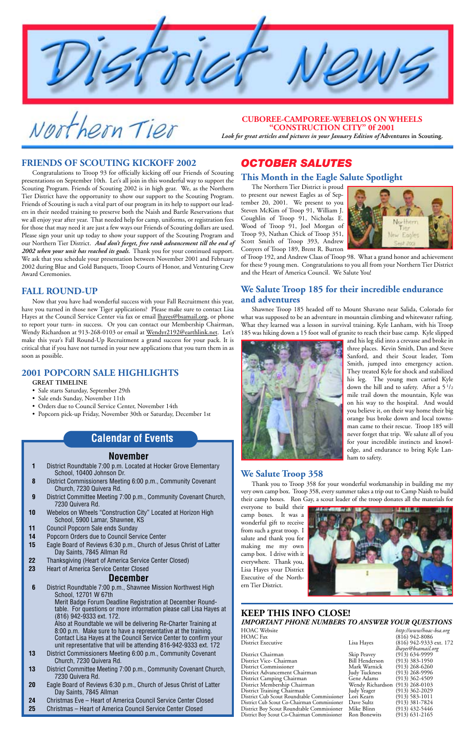

Northern Tier

#### **November**

- **1** District Roundtable 7:00 p.m. Located at Hocker Grove Elementary School, 10400 Johnson Dr.
- **8** District Commissioners Meeting 6:00 p.m., Community Covenant Church, 7230 Quivera Rd.
- **9** District Committee Meeting 7:00 p.m., Community Covenant Church, 7230 Quivera Rd.
- **10** Webelos on Wheels "Construction City" Located at Horizon High School, 5900 Lamar, Shawnee, KS
- **11** Council Popcorn Sale ends Sunday
- **14** Popcorn Orders due to Council Service Center

- **15** Eagle Board of Reviews 6:30 p.m., Church of Jesus Christ of Latter Day Saints, 7845 Allman Rd
- **22** Thanksgiving (Heart of America Service Center Closed)
- **23** Heart of America Service Center Closed

# **December**

**6** District Roundtable 7:00 p.m., Shawnee Mission Northwest High School, 12701 W 67th

Merit Badge Forum Deadline Registration at December Roundtable. For questions or more information please call Lisa Hayes at (816) 942-9333 ext. 172.

> District Chairman Skip Peavey (913) 634-9999 District Vice- Chairman Bill Henderson (913) 383-1950 District Commissioner Mark Warnick (913) 268-6260 District Advancement Chairman Judy Tuckness (913) 268-9996 District Camping Chairman District Membership Chairman Wendy Richardson (913) 268-0103 District Training Chairman Judy Yeager (913) 362-2029 District Cub Scout Roundtable Commissioner District Cub Scout Co-Chairman Commissioner Dave Sultz (913) 381-7824 District Boy Scout Roundtable Commissioner Mike Blinn (913) 432-5446 District Boy Scout Co-Chairman Commissioner

Also at Roundtable we will be delivering Re-Charter Training at 8:00 p.m. Make sure to have a representative at the training. Contact Lisa Hayes at the Council Service Center to confirm your unit representative that will be attending 816-942-9333 ext. 172

- **13** District Commissioners Meeting 6:00 p.m., Community Covenant Church, 7230 Quivera Rd.
- **13** District Committee Meeting 7:00 p.m., Community Covenant Church, 7230 Quivera Rd.
- **20** Eagle Board of Reviews 6:30 p.m., Church of Jesus Christ of Latter Day Saints, 7845 Allman
- **24** Christmas Eve Heart of America Council Service Center Closed
- **25** Christmas Heart of America Council Service Center Closed

# **Calendar of Events**

#### **KEEP THIS INFO CLOSE!** *IMPORTANT PHONE NUMBERS TO ANSWER YOUR QUESTIONS*

HOAC Website *http://www/hoac-bsa.org* HOAC Fax (816) 942-8086<br>District Executive Lisa Hayes (816) 942-9333 (816) 942-9333 ext. 172 *lhayes@bsamail.org*

#### **FRIENDS OF SCOUTING KICKOFF 2002**

Congratulations to Troop 93 for officially kicking off our Friends of Scouting presentations on September 10th. Let's all join in this wonderful way to support the Scouting Program. Friends of Scouting 2002 is in high gear. We, as the Northern Tier District have the opportunity to show our support to the Scouting Program. Friends of Scouting is such a vital part of our program in its help to support our leaders in their needed training to preserve both the Naish and Bartle Reservations that we all enjoy year after year. That needed help for camp, uniforms, or registration fees for those that may need it are just a few ways our Friends of Scouting dollars are used. Please sign your unit up today to show your support of the Scouting Program and our Northern Tier District. *And don't forget, free rank advancement till the end of 2002 when your unit has reached its goals.* Thank you for your continued support. We ask that you schedule your presentation between November 2001 and February 2002 during Blue and Gold Banquets, Troop Courts of Honor, and Venturing Crew Award Ceremonies.

#### **FALL ROUND-UP**

Now that you have had wonderful success with your Fall Recruitment this year, have you turned in those new Tiger applications? Please make sure to contact Lisa Hayes at the Council Service Center via fax or email lhayes@bsamail.org, or phone to report your turn- in success. Or you can contact our Membership Chairman, Wendy Richardson at 913-268-0103 or email at Wendyr2192@earthlink.net. Let's make this year's Fall Round-Up Recruitment a grand success for your pack. It is critical that if you have not turned in your new applications that you turn them in as soon as possible.

#### **2001 POPCORN SALE HIGHLIGHTS**

#### **GREAT TIMELINE**

- Sale starts Saturday, September 29th
- Sale ends Sunday, November 11th
- Orders due to Council Service Center, November 14th
- Popcorn pick-up Friday, November 30th or Saturday, December 1st

# *OCTOBER SALUTES*

#### **This Month in the Eagle Salute Spotlight**

The Northern Tier District is proud to present our newest Eagles as of September 20, 2001. We present to you Steven McKim of Troop 91, William J. Coughlin of Troop 91, Nicholas E. Wood of Troop 91, Joel Morgan of Troop 93, Nathan Chick of Troop 351, Scott Smith of Troop 393, Andrew Conyers of Troop 189, Brent R. Burton



of Troop 192, and Andrew Claas of Troop 98. What a grand honor and achievement for these 9 young men. Congratulations to you all from your Northern Tier District and the Heart of America Council. We Salute You!

#### **We Salute Troop 185 for their incredible endurance and adventures**

Shawnee Troop 185 headed off to Mount Shavano near Salida, Colorado for what was supposed to be an adventure in mountain climbing and whitewater rafting. What they learned was a lesson in survival training. Kyle Lanham, with his Troop 185 was hiking down a 15 foot wall of granite to reach their base camp. Kyle slipped



and his leg slid into a crevasse and broke in three places. Kevin Smith, Dan and Steve Sanford, and their Scout leader, Tom Smith, jumped into emergency action. They treated Kyle for shock and stabilized his leg. The young men carried Kyle down the hill and to safety. After a  $5\frac{1}{2}$ mile trail down the mountain, Kyle was on his way to the hospital. And would you believe it, on their way home their big orange bus broke down and local townsman came to their rescue. Troop 185 will never forget that trip. We salute all of you for your incredible instincts and knowledge, and endurance to bring Kyle Lanham to safety.

#### **We Salute Troop 358**

Thank you to Troop 358 for your wonderful workmanship in building me my very own camp box. Troop 358, every summer takes a trip out to Camp Naish to build their camp boxes. Ron Gay, a scout leader of the troop donates all the materials for

everyone to build their camp boxes. It was a wonderful gift to receive from such a great troop. I salute and thank you for making me my own camp box. I drive with it everywhere. Thank you, Lisa Hayes your District Executive of the Northern Tier District.



#### **CUBOREE-CAMPOREE-WEBELOS ON WHEELS "CONSTRUCTION CITY" 0f 2001**

*Look for great articles and pictures in your January Edition of* **Adventures in Scouting.**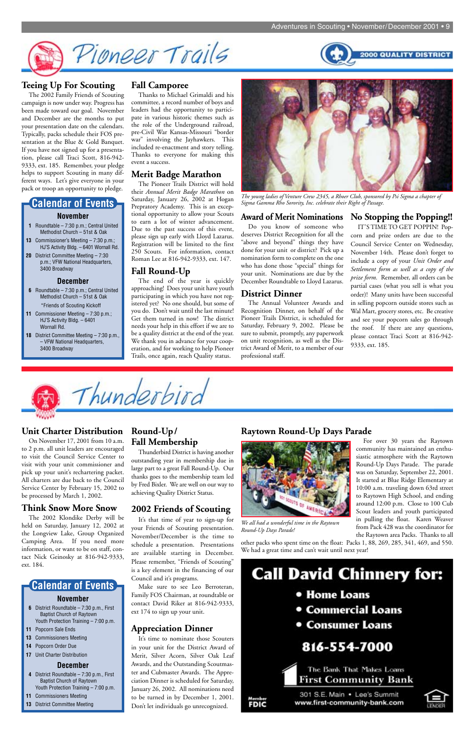



#### **Unit Charter Distribution**

On November 17, 2001 from 10 a.m. to 2 p.m. all unit leaders are encouraged to visit the Council Service Center to visit with your unit commissioner and pick up your unit's rechartering packet. All charters are due back to the Council Service Center by February 15, 2002 to be processed by March 1, 2002.

#### **Think Snow More Snow**

The 2002 Klondike Derby will be held on Saturday, January 12, 2002 at the Longview Lake, Group Organized Camping Area. If you need more information, or want to be on staff, contact Nick Geinosky at 816-942-9333, ext. 184.

### **Round-Up/ Fall Membership**

Thunderbird District is having another outstanding year in membership due in large part to a great Fall Round-Up. Our thanks goes to the membership team led by Fred Bixler. We are well on our way to achieving Quality District Status.

#### **2002 Friends of Scouting**

It's that time of year to sign-up for your Friends of Scouting presentation. November/December is the time to schedule a presentation. Presentations are available starting in December. Please remember, "Friends of Scouting" is a key element in the financing of our Council and it's programs.

Make sure to see Leo Berroteran, Family FOS Chairman, at roundtable or contact David Riker at 816-942-9333, ext 174 to sign up your unit.

# **Appreciation Dinner**

It's time to nominate those Scouters in your unit for the District Award of Merit, Silver Acorn, Silver Oak Leaf Awards, and the Outstanding Scoutmaster and Cubmaster Awards. The Appreciation Dinner is scheduled for Saturday, January 26, 2002. All nominations need to be turned in by December 1, 2001. Don't let individuals go unrecognized.

# **Call David Chinnery for:**

- Home Loans
- **Commercial Loans**
- Consumer Loans

# 816-554-7000



**FDIC** 

#### The Bank That Makes Loans First Community Bank

301 S.E. Main . Lee's Summit www.first-community-bank.com



# **Teeing Up For Scouting**

The 2002 Family Friends of Scouting campaign is now under way. Progress has been made toward our goal. November and December are the months to put your presentation date on the calendars. Typically, packs schedule their FOS presentation at the Blue & Gold Banquet. If you have not signed up for a presentation, please call Traci Scott, 816-942- 9333, ext. 185. Remember, your pledge helps to support Scouting in many different ways. Let's give everyone in your pack or troop an opportunity to pledge.

#### **Fall Camporee**

Thanks to Michael Grimaldi and his committee, a record number of boys and leaders had the opportunity to participate in various historic themes such as the role of the Underground railroad, pre-Civil War Kansas-Missouri "border war" involving the Jayhawkers. This included re-enactment and story telling. Thanks to everyone for making this event a success.

#### **Merit Badge Marathon**

The Pioneer Trails District will hold their *Annual Merit Badge Marathon* on Saturday, January 26, 2002 at Hogan Prepratory Academy. This is an exceptional opportunity to allow your Scouts to earn a lot of winter advancement. Due to the past success of this event, please sign up early with Lloyd Lazarus. Registration will be limited to the first 250 Scouts. For information, contact Roman Lee at 816-942-9333, ext. 147.

#### **Fall Round-Up**

The end of the year is quickly approaching! Does your unit have youth participating in which you have not registered yet? No one should, but some of you do. Don't wait until the last minute! Get them turned in now! The district needs your help in this effort if we are to be a quality district at the end of the year. We thank you in advance for your cooperation, and for working to help Pioneer Trails, once again, reach Quality status.

#### **Award of Merit Nominations**

Do you know of someone who deserves District Recognition for all the "above and beyond" things they have done for your unit or district? Pick up a nomination form to complete on the one who has done those "special" things for your unit. Nominations are due by the December Roundtable to Lloyd Lazarus.

#### **District Dinner**

The Annual Volunteer Awards and Recognition Dinner, on behalf of the Pioneer Trails District, is scheduled for Saturday, February 9, 2002. Please be sure to submit, promptly, any paperwork on unit recognition, as well as the District Award of Merit, to a member of our professional staff.

#### **No Stopping the Popping!!**

IT'S TIME TO GET POPPIN! Popcorn and prize orders are due to the Council Service Center on Wednesday, November 14th. Please don't forget to include a copy of your *Unit Order and Settlement form as well as a copy of the prize form.* Remember, all orders can be partial cases (what you sell is what you order)! Many units have been successful in selling popcorn outside stores such as Wal Mart, grocery stores, etc. Be creative and see your popcorn sales go through the roof. If there are any questions, please contact Traci Scott at 816-942- 9333, ext. 185.



- **1** Roundtable 7:30 p.m.; Central United Methodist Church – 51st & Oak
- **13** Commissioner's Meeting 7:30 p.m.; HJ'S Activity Bldg. – 6401 Wornall Rd.
- **20** District Committee Meeting 7:30 p.m.; VFW National Headquarters, 3400 Broadway

#### **December**

#### **November Calendar of Events**

- **6** Roundtable 7:30 p.m.; Central United Methodist Church – 51st & Oak \*Friends of Scouting Kickoff
- **11** Commissioner Meeting 7:30 p.m.; HJ'S Activity Bldg. – 6401 Wornall Rd.
- **18** District Committee Meeting 7:30 p.m., – VFW National Headquarters, 3400 Broadway

#### **November**

- **6** District Roundtable 7:30 p.m., First Baptist Church of Raytown Youth Protection Training – 7:00 p.m.
- **11** Popcorn Sale Ends
- **13** Commissioners Meeting
- **14** Popcorn Order Due
- **17** Unit Charter Distribution

#### **December**

- **4** District Roundtable 7:30 p.m., First Baptist Church of Raytown Youth Protection Training – 7:00 p.m.
- **11** Commissioners Meeting
- **13** District Committee Meeting

# **Calendar of Events**



*The young ladies of Venture Crew 2345, a Rhoer Club, sponsored by Psi Sigma a chapter of Sigma Gamma Rho Sorority, Inc. celebrate their Right of Passage.*

### **Raytown Round-Up Days Parade**

For over 30 years the Raytown community has maintained an enthusiastic atmosphere with the Raytown Round-Up Days Parade. The parade was on Saturday, September 22, 2001. It started at Blue Ridge Elementary at 10:00 a.m. traveling down 63rd street to Raytown High School, and ending around 12:00 p.m. Close to 100 Cub Scout leaders and youth participated in pulling the float. Karen Weaver from Pack 428 was the coordinator for the Raytown area Packs. Thanks to all other packs who spent time on the float: Packs 1, 88, 269, 285, 341, 469, and 550. We had a great time and can't wait until next year! *We all had a wonderful time in the Raytown*



*Round-Up Days Parade!*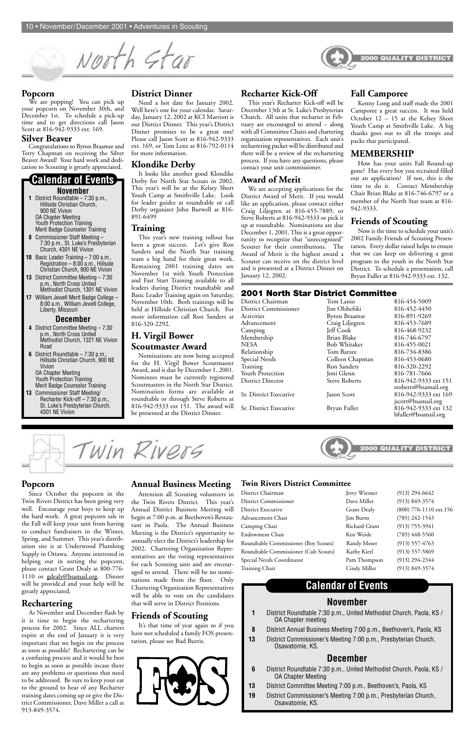

#### **District Dinner**

Need a hot date for January 2002. Well here's one for your calendar. Saturday, January 12, 2002 at KCI Marriott is our District Dinner. This year's District Dinner promises to be a great one! Please call Jason Scott at 816-942-9333 ext. 169, or Tom Lenz at 816-792-0114 for more information.

#### **Klondike Derby**

It looks like another good Klondike Derby for North Star Scouts in 2002. This year's will be at the Kelsey Short Youth Camp at Smithville Lake. Look for leader guides at roundtable or call Derby organizer John Burwell at 816- 891-6499

#### **Training**

We are popping! You can pick up your popcorn on November 30th, and December 1st. To schedule a pick-up time and to get directions call Jason Scott at 816-942-9333 ext. 169.

> This year's new training rollout has been a great success. Let's give Ron Sanders and the North Star training team a big hand for their great work. Remaining 2001 training dates are November 1st with Youth Protection and Fast Start Training available to all leaders during District roundtable and Basic Leader Training again on Saturday, November 10th. Both trainings will be held at Hillside Christian Church. For more information call Ron Sanders at 816-320-2292.

#### **H. Virgil Bower Scoutmaster Award**

Nominations are now being accepted for the H. Virgil Bower Scoutmaster Award, and is due by December 1, 2001. Nominees must be currently registered Scoutmasters in the North Star District. Nomination forms are available at roundtable or through Steve Roberts at 816-942-9333 ext 151. The award will be presented at the District Dinner.

#### **Popcorn**

#### **Silver Beaver**

Congratulations to Byron Braamse and Terry Chapman on receiving the Silver Beaver Award! Your hard work and dedication to Scouting is greatly appreciated.

#### **Recharter Kick-Off**

This year's Recharter Kick-off will be December 13th at St. Luke's Presbyterian Church. All units that recharter in February are encouraged to attend – along with all Committee Chairs and chartering organization representatives. Each unit's rechartering packet will be distributed and there will be a review of the rechartering process. If you have any questions, please contact your unit commissioner.

#### **Award of Merit**

We are accepting applications for the District Award of Merit. If you would like an application, please contact either Craig Liljegren at 816-455-7889, or Steve Roberts at 816-942-9333 or pick it up at roundtable. Nominations are due December 1, 2001. This is a great opportunity to recognize that "unrecognized" Scouter for their contributions. The Award of Merit is the highest award a Scouter can receive on the district level and is presented at a District Dinner on January 12, 2002.

District Commissioner Dave Miller (913) 849-3574 District Executive Grant Dealy (800) 776-1110 ext.156 Advancement Chair Jim Burns (785) 242-1543 Camping Chair Richard Grant (913) 755-3941 Endowment Chair Ken Weide (785) 448-5560

#### **Fall Camporee**

Kenny Long and staff made the 2001 Camporee a great success. It was held October 12 – 15 at the Kelsey Short Youth Camp at Smithville Lake. A big thanks goes out to all the troops and packs that participated.

#### **MEMBERSHIP**

How has your units Fall Round-up gone? Has every boy you recruited filled out an application? If not, this is the time to do it. Contact Membership Chair Brian Blake at 816-746-6797 or a member of the North Star team at 816- 942-9333.

#### **Friends of Scouting**

Now is the time to schedule your unit's 2002 Family Friends of Scouting Presentation. Every dollar raised helps to ensure that we can keep on delivering a great program to the youth in the North Star District. To schedule a presentation, call Bryan Fuller at 816-942-9333 ext. 132.

#### **November**

- **1** District Roundtable 7:30 p.m., Hillside Christian Church, 900 NE Vivion OA Chapter Meeting Youth Protection Training Merit Badge Counselor Training
- **8** Commissioner Staff Meeting 7:30 p.m., St. Luke's Presbyterian Church, 4301 NE Vivion
- **10** Basic Leader Training 7:00 a.m., Registration  $-8:00$  a.m., Hillside Christian Church, 900 NE Vivion
- **13** District Committee Meeting 7:30 p.m., North Cross United Methodist Church, 1301 NE Vivion
- **17** William Jewell Merit Badge College 8:00 a.m., William Jewell College, Liberty, Missouri

#### **December**

- **4** District Committee Meeting 7:30 p.m., North Cross United Methodist Church, 1321 NE Vivion Road
- **6** District Roundtable 7:30 p.m., Hillside Christian Church, 900 NE Vivion OA Chapter Meeting

Youth Protection Training Merit Badge Counselor Training

**13** Commissioner Staff Meeting/ Recharter Kick-off – 7:30 p.m., St. Luke's Presbyterian Church, 4301 NE Vivion

#### **Calendar of Events**

#### **2001 North Star District Committee**

| Tom Lanio            | 816-454-5009                                 |
|----------------------|----------------------------------------------|
| Jim Olshefski        | 816-452-4450                                 |
| <b>Byron Braamse</b> | 816-891-9269                                 |
| Craig Liljegren      | 816-453-7689                                 |
| Jeff Cook            | 816-468-9232                                 |
| Brian Blake          | 816-746-6797                                 |
| Bob Whitaker         | 816-455-0021                                 |
| Tom Barzee           | 816-734-8386                                 |
| Colleen Chapman      | 816-453-0680                                 |
| Ron Sanders          | 816-320-2292                                 |
| Joni Glenn           | 816-781-7666                                 |
| <b>Steve Roberts</b> | 816-942-9333 ext 151<br>sroberts@bsamail.org |
| Jason Scott          | 816-942-9333 ext 169<br>jscott@bsamail.org   |
| Bryan Fuller         | 816-942-9333 ext 132<br>bfuller@bsamail.org  |
|                      |                                              |



#### **Twin Rivers District Committee**

District Chairman Jerry Wiesner (913) 294-6642

Roundtable Commissioner (Boy Scouts) Randy Moser (913) 557-4763 Roundtable Commissioner (Cub Scouts) Kathy Kierl (913) 557-5869 Special Needs Coordinator Pam Thompson (913) 294-2344 Training Chair Cindy Miller (913) 849-3574

| ly Moser  | $(913) 557 - 47$  |
|-----------|-------------------|
| y Kierl   | $(913) 557 - 58$  |
| Thompson  | $(913)$ 294-23    |
| ly Miller | $(913) 849 - 35'$ |

#### **Popcorn**

Since October the popcorn in the Twin Rivers District has been going very well. Encourage your boys to keep up the hard work. A great popcorn sale in the Fall will keep your unit from having to conduct fundraisers in the Winter, Spring, and Summer. This year's distribution site is at Underwood Plumbing Supply in Ottawa. Anyone interested in helping out in sorting the popcorn, please contact Grant Dealy at 800-776- 1110 or gdealy@bsamail.org. Dinner will be provide,d and your help will be greatly appreciated.

## **Rechartering**

As November and December flash by it is time to begin the rechartering process for 2002. Since ALL charters expire at the end of January it is very important that we begin on the process as soon as possible! Rechartering can be a confusing process and it would be best to begin as soon as possible incase there are any problems or questions that need to be addressed. Be sure to keep your ear to the ground to hear of any Recharter training dates coming up or give the District Commissioner, Dave Miller a call at 913-849-3574.

#### **Annual Business Meeting**

Win Rivers

Attention all Scouting volunteers in the Twin Rivers District. This year's Annual District Business Meeting will begin at 7:00 p.m. at Beethoven's Restaurant in Paola. The Annual Business Meeting is the District's opportunity to annually elect the District's leadership for 2002. Chartering Organization Representatives are the voting representatives for each Scouting unit and are encouraged to attend. There will be no nominations made from the floor. Only Chartering Organization Representatives will be able to vote on the candidates that will serve in District Positions.

# **Friends of Scouting**

It's that time of year again so if you have not scheduled a family FOS presentation, please see Bud Burris.



# **Calendar of Events**

# **November**

- **1** District Roundtable 7:30 p.m., United Methodist Church, Paola, KS / OA Chapter meeting
- **8** District Annual Business Meeting 7:00 p.m., Beethoven's, Paola, KS
- **13** District Commissioner's Meeting 7:00 p.m., Presbyterian Church, Osawatomie, KS.

# **December**

- **6** District Roundtable 7:30 p.m., United Methodist Church, Paola, KS / OA Chapter Meeting
- **13** District Committee Meeting 7:00 p.m., Beethoven's, Paola, KS
- **19** District Commissioner's Meeting 7:00 p.m., Presbyterian Church, Osawatomie, KS.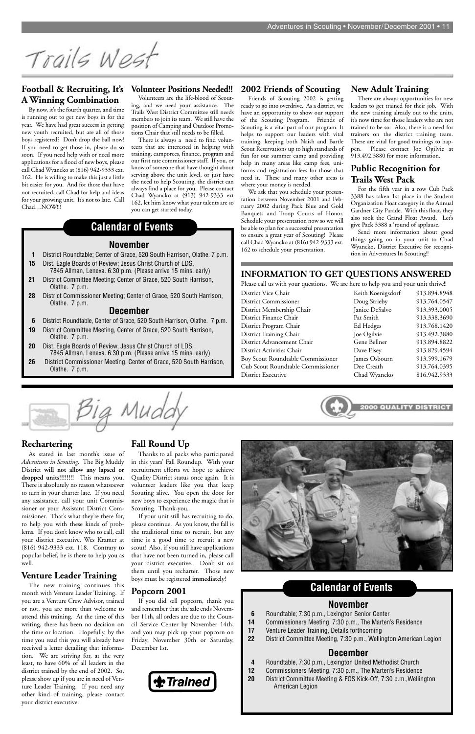Trails West

**November 1** District Roundtable; Center of Grace, 520 South Harrison, Olathe. 7 p.m.

**15** Dist. Eagle Boards of Review; Jesus Christ Church of LDS,

7845 Allman, Lenexa. 6:30 p.m. (Please arrive 15 mins. early)

**21** District Committee Meeting; Center of Grace, 520 South Harrison,

Olathe. 7 p.m.

**28** District Commissioner Meeting; Center of Grace, 520 South Harrison,

Olathe. 7 p.m.

**December 6** District Roundtable, Center of Grace, 520 South Harrison, Olathe. 7 p.m.

**19** District Committee Meeting, Center of Grace, 520 South Harrison,

Olathe. 7 p.m.

**20** Dist. Eagle Boards of Review, Jesus Christ Church of LDS,

7845 Allman, Lenexa. 6:30 p.m. (Please arrive 15 mins. early) **26** District Commissioner Meeting, Center of Grace, 520 South Harrison,

Olathe. 7 p.m.

**Calendar of Events**

#### **Rechartering**

As stated in last month's issue of *Adventures in Scouting*. The Big Muddy District **will not allow any lapsed or dropped units!!!!!!!!** This means you. There is absolutely no reason whatsoever to turn in your charter late. If you need any assistance, call your unit Commissioner or your Assistant District Commissioner. That's what they're there for, to help you with these kinds of problems. If you don't know who to call, call your district executive, Wes Kramer at (816) 942-9333 ext. 118. Contrary to popular belief, he is there to help you as well.

### **Venture Leader Training**

The new training continues this month with Venture Leader Training. If you are a Venture Crew Advisor, trained or not, you are more than welcome to attend this training. At the time of this writing, there has been no decision on the time or location. Hopefully, by the time you read this you will already have received a letter detailing that information. We are striving for, at the very least, to have 60% of all leaders in the district trained by the end of 2002. So, please show up if you are in need of Venture Leader Training. If you need any other kind of training, please contact your district executive.

#### **Fall Round Up**

Thanks to all packs who participated in this years' Fall Roundup. With your recruitment efforts we hope to achieve Quality District status once again. It is volunteer leaders like you that keep Scouting alive. You open the door for new boys to experience the magic that is Scouting. Thank-you.

If your unit still has recruiting to do, please continue. As you know, the fall is the traditional time to recruit, but any time is a good time to recruit a new scout! Also, if you still have applications that have not been turned in, please call your district executive. Don't sit on them until you recharter. Those new boys must be registered **immediately**!



# **Popcorn 2001**

If you did sell popcorn, thank you and remember that the sale ends November 11th, all orders are due to the Council Service Center by November 14th, and you may pick up your popcorn on Friday, November 30th or Saturday, December 1st.



# **November**

- **6** Roundtable; 7:30 p.m., Lexington Senior Center
- **14** Commissioners Meeting, 7:30 p.m., The Marten's Residence
- **17** Venture Leader Training, Details forthcoming
- **22** District Committee Meeting, 7:30 p.m., Wellington American Legion

### **December**

- **4** Roundtable, 7:30 p.m., Lexington United Methodist Church
- **12** Commissioners Meeting, 7:30 p.m., The Marten's Residence
- **20** District Committee Meeting & FOS Kick-Off, 7:30 p.m.,Wellington American Legion

# **Calendar of Events**

#### **Football & Recruiting, It's A Winning Combination**

By now, it's the fourth quarter, and time is running out to get new boys in for the year. We have had great success in getting new youth recruited, but are all of those boys registered? Don't drop the ball now! If you need to get those in, please do so soon. If you need help with or need more applications for a flood of new boys, please call Chad Wyancko at (816) 942-9333 ext. 162. He is willing to make this just a little bit easier for you. And for those that have not recruited, call Chad for help and ideas for your growing unit. It's not to late. Call Chad…NOW!!!

#### **Volunteer Positions Needed!!**

Volunteers are the life-blood of Scouting, and we need your assistance. The Trails West District Committee still needs members to join its team. We still have the position of Camping and Outdoor Promotions Chair that still needs to be filled.

There is always a need to find volunteers that are interested in helping with training, camporees, finance, program and our first rate commissioner staff. If you, or know of someone that have thought about serving above the unit level, or just have the need to help Scouting, the district can always find a place for you. Please contact Chad Wyancko at (913) 942-9333 ext 162, let him know what your talents are so you can get started today.

#### **2002 Friends of Scouting**

Friends of Scouting 2002 is getting ready to go into overdrive. As a district, we have an opportunity to show our support of the Scouting Program. Friends of Scouting is a vital part of our program. It helps to support our leaders with vital training, keeping both Naish and Bartle Scout Reservations up to high standards of fun for our summer camp and providing help in many areas like camp fees, uniforms and registration fees for those that need it. These and many other areas is where your money is needed.

We ask that you schedule your presentation between November 2001 and February 2002 during Pack Blue and Gold Banquets and Troop Courts of Honor. Schedule your presentation now so we will be able to plan for a successful presentation to ensure a great year of Scouting! Please call Chad Wyancko at (816) 942-9333 ext. 162 to schedule your presentation.

#### **New Adult Training**

There are always opportunities for new leaders to get trained for their job. With the new training already out to the units, it's now time for those leaders who are not trained to be so. Also, there is a need for trainers on the district training team. These are vital for good trainings to happen. Please contact Joe Ogilvie at 913.492.3880 for more information.

#### **Public Recognition for Trails West Pack**

For the fifth year in a row Cub Pack 3388 has taken 1st place in the Student Organization Float category in the Annual Gardner City Parade. With this float, they also took the Grand Float Award. Let's give Pack 3388 a 'round of applause.

Send more information about good things going on in your unit to Chad Wyancko, District Executive for recognition in Adventures In Scouting!!

#### **INFORMATION TO GET QUESTIONS ANSWERED**

Please call us with your questions. We are here to help you and your unit thrive!!

| District Vice Chair                      | Keith Koenigsdorf | 913.894.8948 |
|------------------------------------------|-------------------|--------------|
| <b>District Commissioner</b>             | Doug Strieby      | 913.764.0547 |
| District Membership Chair                | Janice DeSalvo    | 913.393.0005 |
| District Finance Chair                   | Pat Smith         | 913.338.3690 |
| District Program Chair                   | Ed Hedges         | 913.768.1420 |
| District Training Chair                  | Joe Ogilvie       | 913.492.3880 |
| District Advancement Chair               | Gene Bellner      | 913.894.8822 |
| District Activities Chair                | Dave Elsey        | 913.829.4594 |
| <b>Boy Scout Roundtable Commissioner</b> | James Osbourn     | 913.599.1679 |
| Cub Scout Roundtable Commissioner        | Dee Creath        | 913.764.0395 |
| District Executive                       | Chad Wyancko      | 816.942.9333 |
|                                          |                   |              |

| Keith Koenigsdorf | 913.894.8948 |
|-------------------|--------------|
| Doug Strieby      | 913.764.0547 |
| Janice DeSalvo    | 913.393.0005 |
| Pat Smith         | 913.338.3690 |
| Ed Hedges         | 913.768.1420 |
| Joe Ogilvie       | 913.492.3880 |
| Gene Bellner      | 913.894.8822 |
| Dave Elsey        | 913.829.4594 |
| James Osbourn     | 913.599.1679 |
| Dee Creath        | 913.764.0395 |
| Chad Wyancko      | 816.942.9333 |
|                   |              |

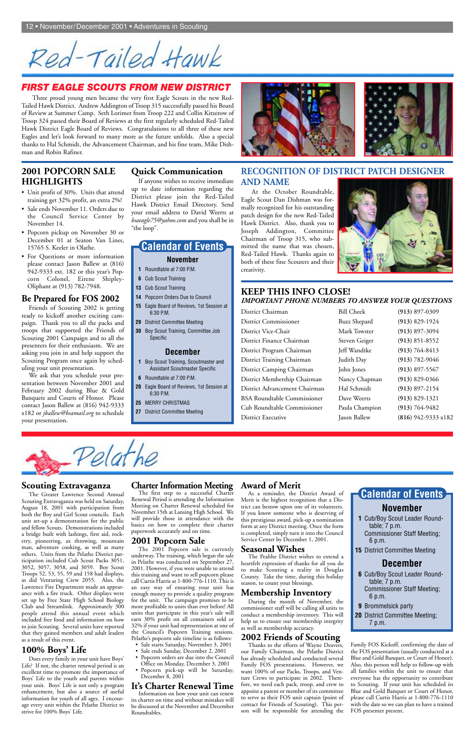Red-Tailed Hawk

#### **2001 POPCORN SALE HIGHLIGHTS**

- Unit profit of 30%. Units that attend training get 32% profit, an extra 2%!
- Sale ends November 11. Orders due to the Council Service Center by November 14.
- Popcorn pickup on November 30 or December 01 at Seaton Van Lines, 15765 S. Keeler in Olathe.
- For Questions or more information please contact Jason Ballew at (816) 942-9333 ext. 182 or this year's Popcorn Colonel, Eirene Shipley-Oliphant at (913) 782-7948.

#### **Be Prepared for FOS 2002**

Friends of Scouting 2002 is getting ready to kickoff another exciting campaign. Thank you to all the packs and troops that supported the Friends of Scouting 2001 Campaign and to all the presenters for their enthusiasm. We are asking you join in and help support the Scouting Program once again by scheduling your unit presentation.

We ask that you schedule your presentation between November 2001 and February 2002 during Blue & Gold Banquets and Courts of Honor. Please contact Jason Ballew at (816) 942-9333 x182 or *jballew@bsamail.org* to schedule your presentation.

#### **Quick Communication**

If anyone wishes to receive immediate up to date information regarding the District please join the Red-Tailed Hawk District Email Directory. Send your email address to David Weerts at *bsaeagle75@yahoo.com* and you shall be in "the loop".

#### **KEEP THIS INFO CLOSE!** *IMPORTANT PHONE NUMBERS TO ANSWER YOUR QUESTIONS*

| District Chairman                  | <b>Bill Cheek</b>   | $(913) 897 - 0309$  |
|------------------------------------|---------------------|---------------------|
| <b>District Commissioner</b>       | <b>Buzz Shepard</b> | $(913) 829 - 1924$  |
| District Vice-Chair                | Mark Towster        | $(913)$ 897-3094    |
| District Finance Chairman          | Steven Geiger       | $(913) 851 - 8552$  |
| District Program Chairman          | Jeff Wandtke        | $(913) 764 - 8413$  |
| District Training Chairman         | Judith Day          | $(913) 782 - 9046$  |
| District Camping Chairman          | John Jones          | $(913) 897 - 5567$  |
| District Membership Chairman       | Nancy Chapman       | $(913) 829 - 0366$  |
| District Advancement Chairman      | Hal Schmidt         | $(913) 897 - 2154$  |
| <b>BSA Roundtable Commissioner</b> | Dave Weerts         | $(913) 829 - 1321$  |
| Cub Roundtable Commissioner        | Paula Champion      | $(913) 764 - 9482$  |
| <b>District Executive</b>          | Jason Ballew        | (816) 942-9333 x182 |

| Cheek          | $(913) 897 - 0309$  |
|----------------|---------------------|
| Shepard        | $(913) 829 - 1924$  |
| <b>COwster</b> | (913) 897-3094      |
| n Geiger       | $(913) 851 - 8552$  |
| Wandtke        | $(913) 764 - 8413$  |
| h Day          | $(913) 782 - 9046$  |
| Jones          | $(913) 897 - 5567$  |
| y Chapman      | $(913) 829 - 0366$  |
| Schmidt        | $(913) 897 - 2154$  |
| Weerts         | $(913) 829 - 1321$  |
| u Champion     | $(913) 764 - 9482$  |
| Ballew         | $(816)$ 942-9333 x1 |



The 2001 Popcorn sale is currently underway. The training, which began the sale in Pelathe was conducted on September 27, 2001. However, if you were unable to attend this training and want to sell popcorn please call Curtis Harris at 1-800-776-1110. This is an easy way of ensuring your unit has enough money to provide a quality program for the unit. The campaign promises to be more profitable to units than ever before! All units that participate in this year's sale will earn 30% profit on all containers sold or 32% if your unit had representation at one of the Council's Popcorn Training sessions. Pelathe's popcorn sale timeline is as follows:

#### *FIRST EAGLE SCOUTS FROM NEW DISTRICT*

Three proud young men became the very first Eagle Scouts in the new Red-Tailed Hawk District. Andrew Addington of Troop 315 successfully passed his Board of Review at Summer Camp. Seth Lorimer from Troop 222 and Collin Kitzerow of Troop 324 passed their Board of Reviews at the first regularly scheduled Red-Tailed Hawk District Eagle Board of Reviews. Congratulations to all three of these new Eagles and let's look forward to many more as the future unfolds. Also a special thanks to Hal Schmidt, the Advancement Chairman, and his fine team, Mike Dishman and Robin Rafiner.

> Renewal Period is attending the Information Meeting on Charter Renewal scheduled for November 15th at Lansing High School. We will provide those in attendance with the basics on how to complete their charter paperwork accurately and on time.

## **2001 Popcorn Sale**

- Sale starts Saturday, November 3, 2001
- Sale ends Sunday, December 2, 2001
- Popcorn orders are due into the Council Office on Monday, December 3, 2001
- Popcorn pick-up will be Saturday, December 8, 2001

#### **It's Charter Renewal Time**

Information on how your unit can renew its charter on time and without mistakes will be discussed at the November and December Roundtables.

#### **Award of Merit**

As a reminder, the District Award of Merit is the highest recognition that a District can bestow upon one of its volunteers. If you know someone who is deserving of this prestigious award, pick-up a nomination form at any District meeting. Once the form is completed, simply turn it into the Council

Service Center by December 1, 2001.

#### **Seasonal Wishes**

The Pealthe District wishes to extend a heartfelt expression of thanks for all you do to make Scouting a reality in Douglas County. Take the time, during this holiday season, to count your blessings.

# **Membership Inventory**

During the month of November, the commissioner staff will be calling all units to conduct a membership inventory. This will help us to ensure our membership integrity as well as membership accuracy.

# **2002 Friends of Scouting** Thanks to the efforts of Wayne Deavers,

our Family Chairman, the Pelathe District has already scheduled and conducted several Family FOS presentations. However, we want 100% of our Packs, Troops, and Venture Crews to participate in 2002. Therefore, we need each pack, troop, and crew to appoint a parent or member of its committee to serve as their FOS unit captain (point of contact for Friends of Scouting). This person will be responsible for attending the

#### **Scouting Extravaganza**

The Greater Lawrence Second Annual Scouting Extravaganza was held on Saturday, August 18, 2001 with participation from both the Boy and Girl Scout councils. Each unit set-up a demonstration for the public and fellow Scouts. Demonstrations included a bridge built with lashings, first aid, rocketry, pioneering, ax throwing, mountain man, adventure cooking, as well as many others. Units from the Pelathe District participation included Cub Scout Packs 3051, 3052, 3057, 3058, and 3059. Boy Scout Troops 52, 53, 55, 59 and 158 had displays, as did Venturing Crew 2055. Also, the Lawrence Fire Department made an appearance with a fire truck. Other displays were set up by Free State High School Biology Club and Streamlink. Approximately 300 people attend this annual event which included free food and information on how to join Scouting. Several units have reported that they gained members and adult leaders as a result of this event.

# **Charter Information Meeting**<br>The first step to a successful Charter

# **100% Boys' Life**

Does every family in your unit have Boys' Life? If not, the charter renewal period is an excellent time to promote the importance of Boys' Life to the youth and parents within your unit. Boys' Life is not only a program enhancement, but also a source of useful information for youth of all ages. I encourage every unit within the Pelathe District to strive for 100% Boys' Life.

**1** Cub/Boy Scout Leader Roundtable; 7 p.m. Commissioner Staff Meeting;

6 p.m.

**15** District Committee Meeting

## **December**

# **November Calendar of Events**

**6** Cub/Boy Scout Leader Roundtable; 7 p.m. Commissioner Staff Meeting; 6 p.m.

**9** Brommelsick party **20** District Committee Meeting; 7 p.m.

Family FOS Kickoff, confirming the date of the FOS presentation (usually conducted at a Blue and Gold Banquet, or Court of Honor). Also, this person will help to follow-up with all families within the unit to ensure that everyone has the opportunity to contribute to Scouting. If your unit has scheduled its Blue and Gold Banquet or Court of Honor, please call Curtis Harris at 1-800-776-1110 with the date so we can plan to have a trained FOS presenter present.

#### **RECOGNITION OF DISTRICT PATCH DESIGNER AND NAME**

At the October Roundtable, Eagle Scout Dan Dishman was formally recognized for his outstanding patch design for the new Red-Tailed Hawk District. Also, thank you to Joseph Addington, Committee Chairman of Troop 315, who submitted the name that was chosen, Red-Tailed Hawk. Thanks again to both of these fine Scouters and their creativity.



#### **November**

- **1** Roundtable at 7:00 P.M.
- **6** Cub Scout Training
- **13** Cub Scout Training
- **14** Popcorn Orders Due to Council
- **15** Eagle Board of Reviews, 1st Session at 6:30 P.M.
- **29** District Committee Meeting
- **30** Boy Scout Training, Committee Job Specific

#### **December**

- **1** Boy Scout Training, Scoutmaster and Assistant Scoutmaster Specific
- **6** Roundtable at 7:00 P.M.
- **20** Eagle Board of Reviews, 1st Session at 6:30 P.M.
- **25** MERRY CHRISTMAS
- **27** District Committee Meeting



# **Calendar of Events**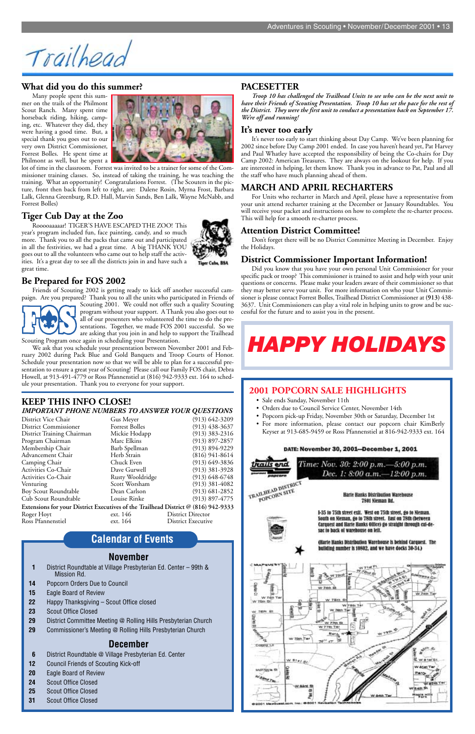Trailhead

# **November**

- **1** District Roundtable at Village Presbyterian Ed. Center 99th & Mission Rd.
- **14** Popcorn Orders Due to Council
- **15** Eagle Board of Review
- **22** Happy Thanksgiving Scout Office closed
- **23** Scout Office Closed
- **29** District Committee Meeting @ Rolling Hills Presbyterian Church
- **29** Commissioner's Meeting @ Rolling Hills Presbyterian Church

# **December**

- **6** District Roundtable @ Village Presbyterian Ed. Center
- **12** Council Friends of Scouting Kick-off
- **20** Eagle Board of Review
- **24** Scout Office Closed
- **25** Scout Office Closed
- **31** Scout Office Closed



**Calendar of Events**

#### **KEEP THIS INFO CLOSE!** *IMPORTANT PHONE NUMBERS TO ANSWER YOUR QUESTIONS*

|  |  | IMPORIAN I PHONE NUMBERS TO ANSWER TOUR QUESTIONS |  |  |  |  |  |  |
|--|--|---------------------------------------------------|--|--|--|--|--|--|
|  |  |                                                   |  |  |  |  |  |  |

| District Vice Chair                                                                | Gus Meyer             | $(913) 642 - 3209$        |  |  |  |
|------------------------------------------------------------------------------------|-----------------------|---------------------------|--|--|--|
| <b>District Commissioner</b>                                                       | <b>Forrest Bolles</b> | $(913)$ 438-3637          |  |  |  |
| District Training Chairman                                                         | Mickie Hodapp         | $(913)$ 383-2316          |  |  |  |
| Program Chairman                                                                   | Marc Elkins           | $(913)$ 897-2857          |  |  |  |
| Membership Chair                                                                   | Barb Spellman         | $(913) 894 - 9229$        |  |  |  |
| Advancement Chair                                                                  | Herb Strain           | $(816)$ 941-8614          |  |  |  |
| Camping Chair                                                                      | Chuck Even            | $(913)$ 649-3836          |  |  |  |
| Activities Co-Chair                                                                | Dave Gurwell          | $(913)$ 381-3928          |  |  |  |
| Activities Co-Chair                                                                | Rusty Wooldridge      | $(913) 648 - 6748$        |  |  |  |
| Venturing                                                                          | Scott Worsham         | $(913)$ 381-4082          |  |  |  |
| Boy Scout Roundtable                                                               | Dean Carlson          | $(913)$ 681-2852          |  |  |  |
| Cub Scout Roundtable                                                               | Louise Rinke          | $(913)$ 897-4775          |  |  |  |
| Extensions for your District Executives of the Trailhead District @ (816) 942-9333 |                       |                           |  |  |  |
| Roger Hoyt                                                                         | ext. 146              | District Director         |  |  |  |
| Ross Pfannenstiel                                                                  | ext. 164              | <b>District Executive</b> |  |  |  |

# **PACESETTER**

*Troop 10 has challenged the Trailhead Units to see who can be the next unit to have their Friends of Scouting Presentation. Troop 10 has set the pace for the rest of the District. They were the first unit to conduct a presentation back on September 17. We're off and running!*

#### **It's never too early**

It's never too early to start thinking about Day Camp. We've been planning for 2002 since before Day Camp 2001 ended. In case you haven't heard yet, Pat Harvey and Paul Whatley have accepted the responsibility of being the Co-chairs for Day Camp 2002: American Treasures. They are always on the lookout for help. If you are interested in helping, let them know. Thank you in advance to Pat, Paul and all the staff who have much planning ahead of them.

#### **MARCH AND APRIL RECHARTERS**

For Units who recharter in March and April, please have a representative from your unit attend recharter training at the December or January Roundtables. You will receive your packet and instructions on how to complete the re-charter process. This will help for a smooth re-charter process.

#### **Attention District Committee!**

Don't forget there will be no District Committee Meeting in December. Enjoy the Holidays.

#### **District Commissioner Important Information!**

Did you know that you have your own personal Unit Commissioner for your specific pack or troop? This commissioner is trained to assist and help with your unit questions or concerns. Please make your leaders aware of their commissioner so that they may better serve your unit. For more information on who your Unit Commissioner is please contact Forrest Bolles, Trailhead District Commissioner at **(913)** 438- 3637. Unit Commissioners can play a vital role in helping units to grow and be successful for the future and to assist you in the present.

#### **What did you do this summer?**

Many people spent this summer on the trails of the Philmont Scout Ranch. Many spent time horseback riding, hiking, camping, etc. Whatever they did, they were having a good time. But, a special thank you goes out to our very own District Commissioner, Forrest Bolles. He spent time at Philmont as well, but he spent a



lot of time in the classroom. Forrest was invited to be a trainer for some of the Commissioner training classes. So, instead of taking the training, he was teaching the training. What an opportunity! Congratulations Forrest. (The Scouters in the picture, front then back from left to right, are: Dalene Rosin, Myrna Frost, Barbara Lalk, Glenna Greenburg, R.D. Hall, Marvin Sands, Ben Lalk, Wayne McNabb, and Forrest Bolles)

#### **Tiger Cub Day at the Zoo**

Rooooaaaaar! TIGER'S HAVE ESCAPED THE ZOO! This year's program included fun, face painting, candy, and so much more. Thank you to all the packs that came out and participated in all the festivities, we had a great time. A big THANK YOU goes out to all the volunteers who came out to help staff the activities. It's a great day to see all the districts join in and have such a great time.



#### **Be Prepared for FOS 2002**

Friends of Scouting 2002 is getting ready to kick off another successful campaign. Are you prepared? Thank you to all the units who participated in Friends of



Scouting 2001. We could not offer such a quality Scouting program without your support. A Thank you also goes out to all of our presenters who volunteered the time to do the presentations. Together, we made FOS 2001 successful. So we are asking that you join in and help to support the Trailhead

Scouting Program once again in scheduling your Presentation.

We ask that you schedule your presentation between November 2001 and February 2002 during Pack Blue and Gold Banquets and Troop Courts of Honor. Schedule your presentation now so that we will be able to plan for a successful presentation to ensure a great year of Scouting! Please call our Family FOS chair, Debra Howell, at 913-491-4779 or Ross Pfannenstiel at (816) 942-9333 ext. 164 to schedule your presentation. Thank you to everyone for your support.

#### **2001 POPCORN SALE HIGHLIGHTS**

- Sale ends Sunday, November 11th
- Orders due to Council Service Center, November 14th
- Popcorn pick-up Friday, November 30th or Saturday, December 1st
- For more information, please contact our popcorn chair KimBerly Keyser at 913-685-9459 or Ross Pfannenstiel at 816-942-9333 ext. 164

#### DATE: November 30, 2001-December 1, 2001

Time: Nov. 30: 2:00 p.m. - 5:00 p.m. Dec. 1: 8:00 а.т. - 12:00 р.т.

TRAILHEAD DISTRICT **ILHEAD DISTER** 

end

**Harle Hanks Distribution Warehouse** 7801 Nieman Rd.

I-35 to 75th street exit. West on 75th street, go to Nieman. South on Nieman, go to 78th street. East on 78th (between Carquest and Harte Hanks Office) go straight through cui-de-

# *HAPPY HOLIDAYS*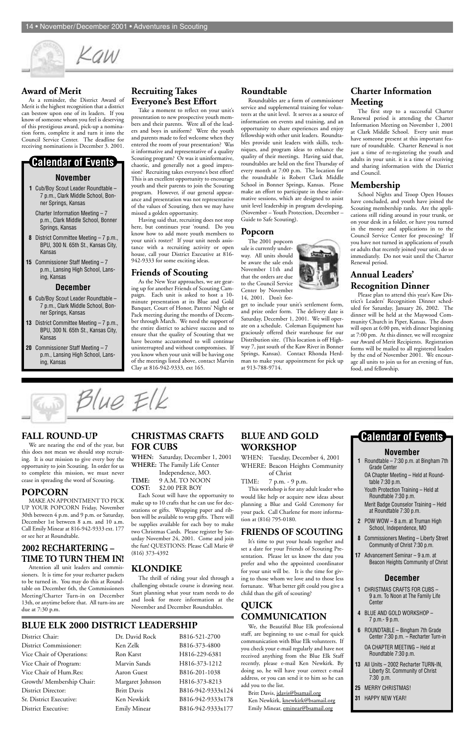

District Commissioner: Ken Zelk B816-373-4800 Vice Chair of Operations: Ron Karst H816-229-6381 Vice Chair of Program: Marvin Sands H816-373-1212 Vice Chair of Hum.Res: Aaron Guest B816-201-1038 Growth/ Membership Chair: Margaret Johnson H816-373-8213 District Director: Britt Davis B816-942-9333x124 Sr. District Executive: Ken Newkirk B816-942-9333x178 District Executive: Emily Minear B816-942-9333x177

# **BLUE ELK 2000 DISTRICT LEADERSHIP**

District Chair: Dr. David Rock B816-521-2700

#### **Award of Merit**

As a reminder, the District Award of Merit is the highest recognition that a district can bestow upon one of its leaders. If you know of someone whom you feel is deserving of this prestigious award, pick-up a nomination form, complete it and turn it into the Council Service Center. The deadline for receiving nominations is December 3. 2001.

#### **Recruiting Takes Everyone's Best Effort**

Take a moment to reflect on your unit's presentation to new prospective youth members and their parents. Were all of the leaders and boys in uniform? Were the youth and parents made to feel welcome when they entered the room of your presentation? Was it informative and representative of a quality Scouting program? Or was it uninformative, chaotic, and generally not a good impression? Recruiting takes everyone's best effort! This is an excellent opportunity to encourage youth and their parents to join the Scouting program. However, if our general appearance and presentation was not representative of the values of Scouting, then we may have missed a golden opportunity.

Having said that, recruiting does not stop here, but continues year 'round. Do you know how to add more youth members to your unit's roster? If your unit needs assistance with a recruiting activity or open house, call your District Executive at 816- 942-9333 for some exciting ideas.

#### **Friends of Scouting**

As the New Year approaches, we are gearing up for another Friends of Scouting Campaign. Each unit is asked to host a 10 minute presentation at its Blue and Gold Banquet, Court of Honor, Parents' Night or Pack meeting during the months of December through March. We need the support of the entire district to achieve success and to ensure that the quality of Scouting that we have become accustomed to will continue uninterrupted and without compromises. If you know when your unit will be having one of the meetings listed above, contact Marvin Clay at 816-942-9333, ext 165.

#### **Roundtable**

Roundtables are a form of commissioner service and supplemental training for volunteers at the unit level. It serves as a source of information on events and training, and an opportunity to share experiences and enjoy fellowship with other unit leaders. Roundtables provide unit leaders with skills, techniques, and program ideas to enhance the quality of their meetings. Having said that, roundtables are held on the first Thursday of every month at 7:00 p.m. The location for the roundtable is Robert Clark Middle School in Bonner Springs, Kansas. Please make an effort to participate in these informative sessions, which are designed to assist unit level leadership in program developing. (November – Youth Protection, December – Guide to Safe Scouting).

#### **Popcorn**

The 2001 popcorn sale is currently underway. All units should be aware the sale ends November 11th and that the orders are due to the Council Service Center by November 14, 2001. Don't for-



#### FALL ROUND-UP **CHRISTMAS CRAFTS** BLUE AND GOLD **Calendar of Events CHRISTMAS CRAFTS FOR CUBS**

get to include your unit's settlement form, and prize order form. The delivery date is Saturday, December 1, 2001. We will operate on a schedule. Coleman Equipment has graciously offered their warehouse for our Distribution site. (This location is off Highway 7, just south of the Kaw River in Bonner Springs, Kansas). Contact Rhonda Herdman to make your appointment for pick up at 913-788-9714.

#### **Charter Information Meeting**

The first step to a successful Charter Renewal period is attending the Charter Information Meeting on November 1, 2001 at Clark Middle School. Every unit must have someone present at this important feature of roundtable. Charter Renewal is not just a time of re-registering the youth and adults in your unit. it is a time of receiving and sharing information with the District and Council.

#### **Membership**

School Nights and Troop Open Houses have concluded, and youth have joined the Scouting membership ranks. Are the applications still riding around in your trunk, or on your desk in a folder, or have you turned in the money and applications in to the Council Service Center for processing? If you have not turned in applications of youth or adults that recently joined your unit, do so immediately. Do not wait until the Charter Renewal period.

### **Annual Leaders' Recognition Dinner**

Please plan to attend this year's Kaw District's Leaders' Recognition Dinner scheduled for Saturday, January 26, 2002. The dinner will be held at the Maywood Community Church in Piper, Kansas. The doors will open at 6:00 pm, with dinner beginning at 7:00 pm. At this dinner, we will recognize our Award of Merit Recipients. Registration forms will be mailed to all registered leaders by the end of November 2001. We encourage all units to join us for an evening of fun, food, and fellowship.

#### **November**

- **1** Roundtable 7:30 p.m. at Bingham 7th Grade Center
- OA Chapter Meeting Held at Roundtable 7:30 p.m.
- Youth Protection Training Held at Roundtable 7:30 p.m.
- Merit Badge Counselor Training Held at Roundtable 7:30 p.m.
- **2** POW WOW 8 a.m. at Truman High School, Independence, MO
- **8** Commissioners Meeting Liberty Street
- Community of Christ 7:30 p.m.
- **17** Advancement Seminar 9 a.m. at Beacon Heights Community of Christ

#### **December**

- **1** CHRISTMAS CRAFTS FOR CUBS 9 a.m. To Noon at The Family Life Center
- **4** BLUE AND GOLD WORKSHOP 7 p.m.- 9 p.m.
- **6** ROUNDTABLE Bingham 7th Grade Center 7:30 p.m. – Recharter Turn-in
	- OA CHAPTER MEETING Held at Roundtable 7:30 p.m.
- **13** All Units 2002 Recharter TURN-IN, Liberty St. Community of Christ 7:30 p.m.
- **25** MERRY CHRISTMAS!
- **31** HAPPY NEW YEAR!

We are nearing the end of the year, but this does not mean we should stop recruiting. It is our mission to give every boy the opportunity to join Scouting. In order for us to complete this mission, we must never cease in spreading the word of Scouting.

#### **POPCORN**

MAKE AN APPOINTMENT TO PICK UP YOUR POPCORN Friday, November 30th between 4 p.m. and 9 p.m. or Saturday, December 1st between 8 a.m. and 10 a.m. Call Emily Minear at 816-942-9333 ext. 177 or see her at Roundtable.

# **2002 RECHARTERING – TIME TO TURN THEM IN!**

Attention all unit leaders and commissioners. It is time for your recharter packets to be turned in. You may do this at Roundtable on December 6th, the Commissioners Meeting/Charter Turn-in on December 13th, or anytime before that. All turn-ins are due at 7:30 p.m.

**WHEN:** Saturday, December 1, 2001 **WHERE:** The Family Life Center

Independence, MO. **TIME:** 9 A.M. TO NOON **COST:** \$2.00 PER BOY

Each Scout will have the opportunity to make up to 10 crafts that he can use for decorations or gifts. Wrapping paper and ribbon will be available to wrap gifts. There will be supplies available for each boy to make two Christmas Cards. Please register by Saturday November 24, 2001. Come and join the fun! QUESTIONS: Please Call Marie @ (816) 373-4392

# **KLONDIKE**

The thrill of riding your sled through a challenging obstacle course is drawing near. Start planning what your team needs to do and look for more information at the November and December Roundtables.

# **BLUE AND GOLD WORKSHOP**

WHEN: Tuesday, December 4, 2001 WHERE: Beacon Heights Community of Christ

TIME: 7 p.m. - 9 p.m.

This workshop is for any adult leader who would like help or acquire new ideas about planning a Blue and Gold Ceremony for your pack. Call Charlene for more information at (816) 795-0180.

# **FRIENDS OF SCOUTING**

It's time to put your heads together and set a date for your Friends of Scouting Presentation. Please let us know the date you prefer and who the appointed coordinator for your unit will be. It is the time for giving to those whom we love and to those less fortunate. What better gift could you give a child than the gift of scouting?

# **QUICK COMMUNICATION**

We, the Beautiful Blue Elk professional staff, are beginning to use e-mail for quick communication with Blue Elk volunteers. If you check your e-mail regularly and have not received anything from the Blue Elk Staff recently, please e-mail Ken Newkirk. By doing so, he will have your correct e-mail address, or you can send it to him so he can add you to the list.

Britt Davis, jdavis@bsamail.org Ken Newkirk, knewkirk@bsamail.org Emily Minear, eminear@bsamail.org

#### **November**

- **1** Cub/Boy Scout Leader Roundtable 7 p.m., Clark Middle School, Bonner Springs, Kansas
	- Charter Information Meeting 7 p.m., Clark Middle School, Bonner Springs, Kansas
- **8** District Committee Meeting 7 p.m., BPU, 300 N. 65th St., Kansas City, Kansas
- **15** Commissioner Staff Meeting 7 p.m., Lansing High School, Lansing, Kansas

#### **December**

- **6** Cub/Boy Scout Leader Roundtable 7 p.m., Clark Middle School, Bonner Springs, Kansas
- **13** District Committee Meeting 7 p.m., BPU, 300 N. 65th St., Kansas City, Kansas
- **20** Commissioner Staff Meeting 7 p.m., Lansing High School, Lansing, Kansas

Blue Elk

# **Calendar of Events**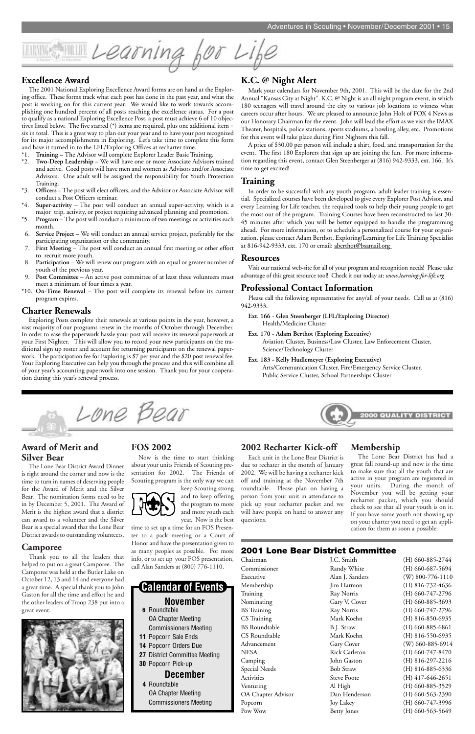#### **Award of Merit and Silver Bear**

The Lone Bear District Award Dinner is right around the corner and now is the time to turn in names of deserving people for the Award of Merit and the Silver Bear. The nomination forms need to be in by December 5, 2001. The Award of Merit is the highest award that a district can award to a volunteer and the Silver Bear is a special award that the Lone Bear District awards to outstanding volunteers.

## **Camporee**

Thank you to all the leaders that helped to put on a great Camporee. The Camporee was held at the Butler Lake on October 12, 13 and 14 and everyone had a great time. A special thank you to John Gaston for all the time and effort he and the other leaders of Troop 238 put into a great event.



#### **FOS 2002**

Now is the time to start thinking about your units Friends of Scouting presentation for 2002. The Friends of Scouting program is the only way we can

keep Scouting strong and to keep offering the program to more and more youth each year. Now is the best

time to set up a time for an FOS Presenter to a pack meeting or a Court of

Honor and have the presentation given to as many peoples as possible. For more info, or to set up your FOS presentation, call Alan Sanders at (800) 776-1110.

#### **2002 Recharter Kick-off**

Each unit in the Lone Bear District is due to rechater in the month of January 2002. We will be having a recharter kick off and training at the November 7th roundtable. Please plan on having a person from your unit in attendance to pick up your recharter packet and we will have people on hand to answer any questions.

#### **Membership**

The Lone Bear District has had a great fall round-up and now is the time to make sure that all the youth that are active in your program are registered in your units. During the month of November you will be getting your recharter packet, which you should check to see that all your youth is on it. If you have some youth not showing up on your charter you need to get an application for them as soon a possible.

I Learning for Life

#### **Excellence Award**

The 2001 National Exploring Excellence Award forms are on hand at the Exploring office. These forms track what each post has done in the past year, and what the post is working on for this current year. We would like to work towards accomplishing one hundred percent of all posts reaching the excellence status. For a post to qualify as a national Exploring Excellence Post, a post must achieve 6 of 10 objectives listed below. The five starred (\*) items are required, plus one additional item = six in total. This is a great way to plan out your year and to have your post recognized for its major accomplishments in Exploring. Let's take time to complete this form and have it turned in to the LFL/Exploring Offices at recharter time.

- \*1. **Training** The Advisor will complete Explorer Leader Basic Training.
- Two-Deep Leadership We will have one or more Associate Advisors trained and active. Coed posts will have men and women as Advisors and/or Associate Advisors. One adult will be assigned the responsibility for Youth Protection Training.
- \*3. **Officers** The post will elect officers, and the Advisor or Associate Advisor will conduct a Post Officers seminar.
- \*4. **Super-activity** The post will conduct an annual super-activity, which is a major trip, activity, or project requiring advanced planning and promotion.
- \*5. **Program** The post will conduct a minimum of two meetings or activities each month.
- 6. **Service Project** We will conduct an annual service project, preferably for the participating organization or the community.
- First Meeting The post will conduct an annual first meeting or other effort to recruit more youth.
- 8. **Participation** We will renew our program with an equal or greater number of youth of the previous year.
- Post Committee An active post committee of at least three volunteers must meet a minimum of four times a year.
- \*10. **On-Time Renewal**  The post will complete its renewal before its current program expires.

**2001 Lone Bear District Committee** Chairman J.C. Smith (H) 660-885-2744 Pow Wow Betty Jones (H) 660-563-5649

Commissioner Randy White (H) 660-687-5694 Executive Alan J. Sanders (W) 800-776-1110 Membership Jim Harmon (H) 816-732-4636 Training Ray Norris (H) 660-747-2796 Nominating Gary V. Cover (H) 660-885-3693 BS Training Ray Norris (H) 660-747-2796 CS Training Mark Koehn (H) 816-850-6935 BS Roundtable B.J. Straw (H) 660-885-6861 CS Roundtable Mark Koehn (H) 816-550-6935 Advancement Gary Cover (W) 660-885-6914 NESA Rick Carleton (H) 660-747-8470 Camping John Gaston (H) 816-297-2216 Special Needs Bob Straw (H) 816-885-6336 Activities Steve Foote (H) 417-646-2651 Venturing Al High (H) 660-885-3529 OA Chapter Advisor Dan Henderson (H) 660-563-2390 Popcorn Joy Lakey (H) 660-747-3996

#### **Charter Renewals**

Exploring Posts complete their renewals at various points in the year, however, a vast majority of our programs renew in the months of October through December. In order to ease the paperwork hassle your post will receive its renewal paperwork at your First Nighter. This will allow you to record your new participants on the traditional sign up roster and account for returning participants on the renewal paperwork. The participation fee for Exploring is \$7 per year and the \$20 post renewal fee. Your Exploring Executive can help you through the process and this will combine all of your year's accounting paperwork into one session. Thank you for your cooperation during this year's renewal process.

Lone Bear

#### **K.C. @ Night Alert**

Mark your calendars for November 9th, 2001. This will be the date for the 2nd Annual "Kansas City at Night". K.C. @ Night is an all night program event, in which 180 teenagers will travel around the city to various job locations to witness what careers occur after hours. We are pleased to announce John Holt of FOX 4 News as our Honorary Chairman for the event. John will lead the effort as we visit the IMAX Theater, hospitals, police stations, sports stadiums, a bowling alley, etc. Promotions for this event will take place during First Nighters this fall.

A price of \$30.00 per person will include a shirt, food, and transportation for the event. The first 180 Explorers that sign up are joining the fun. For more information regarding this event, contact Glen Steenberger at (816) 942-9333, ext. 166. It's time to get excited!

#### **Training**

In order to be successful with any youth program, adult leader training is essential. Specialized courses have been developed to give every Explorer Post Advisor, and every Learning for Life teacher, the required tools to help their young people to get the most out of the program. Training Courses have been reconstructed to last 30- 45 minutes after which you will be better equipped to handle the programming ahead. For more information, or to schedule a personalized course for your organization, please contact Adam Berthot, Exploring/Learning for Life Training Specialist at 816-942-9333, ext. 170 or email: aberthot@bsamail.org

#### **Resources**

Visit our national web-site for all of your program and recognition needs! Please take advantage of this great resource tool! Check it out today at: *www.learning-for-life.org*

#### **Professional Contact Information**

Please call the following representative for any/all of your needs. Call us at (816) 942-9333.

- **Ext. 166 Glen Steenberger (LFL/Exploring Director)** Health/Medicine Cluster
- **Ext. 170 Adam Berthot (Exploring Executive)** Aviation Cluster, Business/Law Cluster, Law Enforcement Cluster,
- Science/Technology Cluster **Ext. 183 - Kelly Hudlemeyer (Exploring Executive)**
	- Arts/Communication Cluster, Fire/Emergency Service Cluster, Public Service Cluster, School Partnerships Cluster



#### **November 6** Roundtable OA Chapter Meeting Commissioners Meeting **11** Popcorn Sale Ends **14** Popcorn Orders Due **27** District Committee Meeting **30** Popcorn Pick-up **December 4** Roundtable OA Chapter Meeting Commissioners Meeting **Calendar of Events**